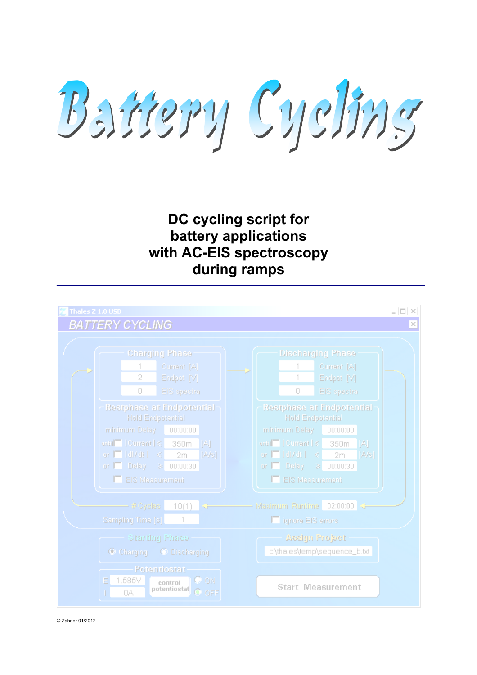

**DC cycling script for battery applications with AC-EIS spectroscopy during ramps** 

| <b>Thales 2 1.0 USB</b>                                      | $ \Box$ $\times$                                      |
|--------------------------------------------------------------|-------------------------------------------------------|
| <b>BATTERY CYCLING</b>                                       |                                                       |
|                                                              |                                                       |
| <b>Charging Phase</b>                                        | <b>Discharging Phase</b>                              |
| Current [A]                                                  | Current [A]                                           |
| 2<br>Endpot <sub>[V]</sub>                                   | 1.<br>Endpot <sub>[V]</sub>                           |
| 0<br>EIS spectral                                            | 0<br>EIS spectral                                     |
| <b>Restphase at Endpotential</b><br><b>Hold Endpotential</b> | Restphase at Endpotential<br><b>Hold Endpotential</b> |
| minimum Delay<br>00:00:00                                    | minimum Delay 00:00:00                                |
| until Current < 350m [A]                                     | until   Current   ≼   350m<br>[A]                     |
| or $\Box$ $ d/dt  \leq$<br>[AVs]<br>2m                       | or $\Box$ $ d/dt  \leq$<br>[A/s]<br>$2m -$            |
| Delay > 00:00:30<br>lor I                                    | Delay $\geqslant 00:00:30$<br>or I                    |
| EIS Measurement                                              | EIS Measurement                                       |
|                                                              |                                                       |
| # Cycles<br>10(1)                                            | Maximum Runtime 02:00:00                              |
| Sampling Time [s]                                            | lignore EIS errors                                    |
| Starting Phase                                               | Assign Project                                        |
| Charging C Discharging                                       | c:\thales\temp\sequence_b.txt                         |
| Potentiostat                                                 |                                                       |
| $\bullet$ on<br>1.585V<br>E<br>control                       |                                                       |
| potentiostat<br>O OFF<br>0A                                  | <b>Start Measurement</b>                              |
|                                                              |                                                       |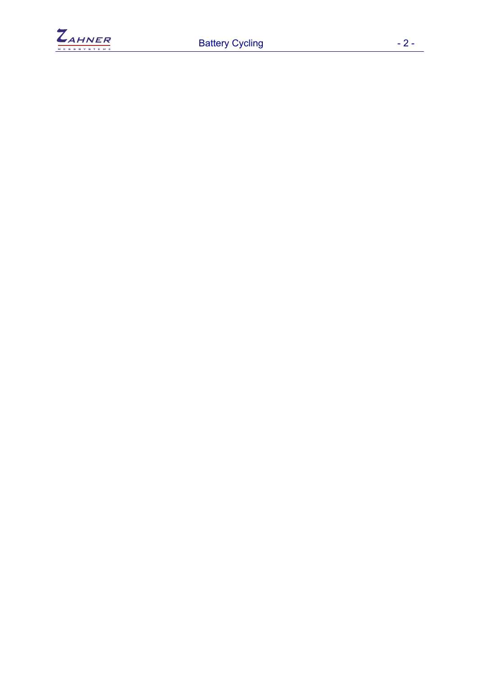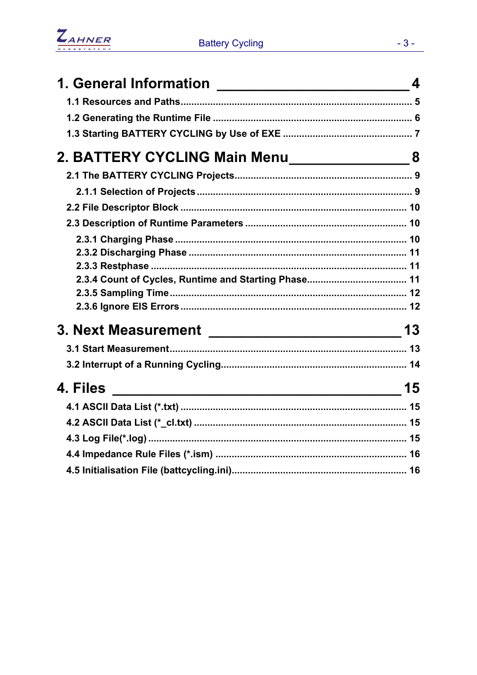

| 2. BATTERY CYCLING Main Menu<br>2. BATTERY CYCLING Main Menu |  |
|--------------------------------------------------------------|--|
|                                                              |  |
|                                                              |  |
|                                                              |  |
|                                                              |  |
|                                                              |  |
|                                                              |  |
|                                                              |  |
|                                                              |  |
|                                                              |  |
|                                                              |  |
|                                                              |  |
|                                                              |  |
|                                                              |  |
| 4. Files<br>$\begin{array}{c c} \hline \end{array}$          |  |
|                                                              |  |
|                                                              |  |
|                                                              |  |
|                                                              |  |
|                                                              |  |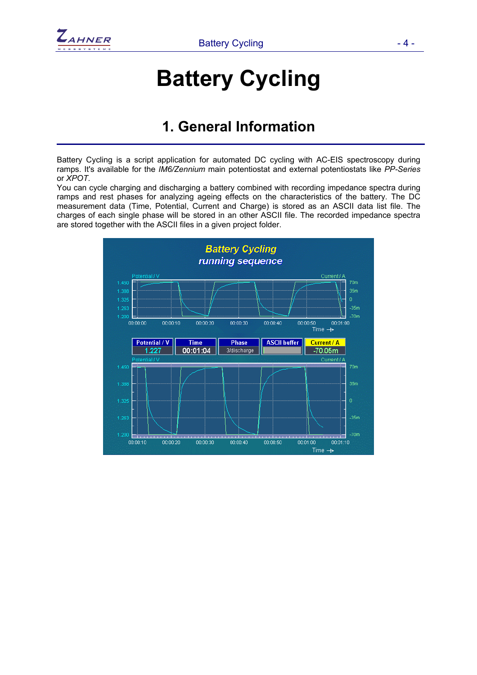

# **Battery Cycling**

# <span id="page-3-0"></span>**1. General Information**

Battery Cycling is a script application for automated DC cycling with AC-EIS spectroscopy during ramps. It's available for the *IM6/Zennium* main potentiostat and external potentiostats like *PP-Series*  or *XPOT*.

You can cycle charging and discharging a battery combined with recording impedance spectra during ramps and rest phases for analyzing ageing effects on the characteristics of the battery. The DC measurement data (Time, Potential, Current and Charge) is stored as an ASCII data list file. The charges of each single phase will be stored in an other ASCII file. The recorded impedance spectra are stored together with the ASCII files in a given project folder.

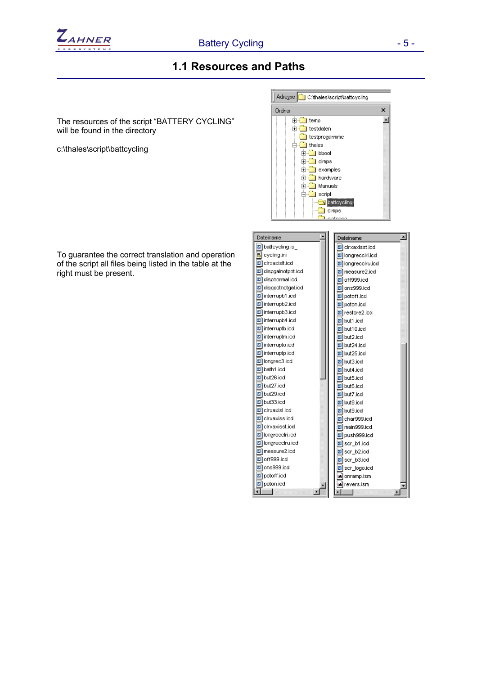

### <span id="page-4-0"></span>**1.1 Resources and Paths**

The resources of the script "BATTERY CYCLING" will be found in the directory

c:\thales\script\battcycling

To guarantee the correct translation and operation of the script all files being listed in the table at the right must be present.

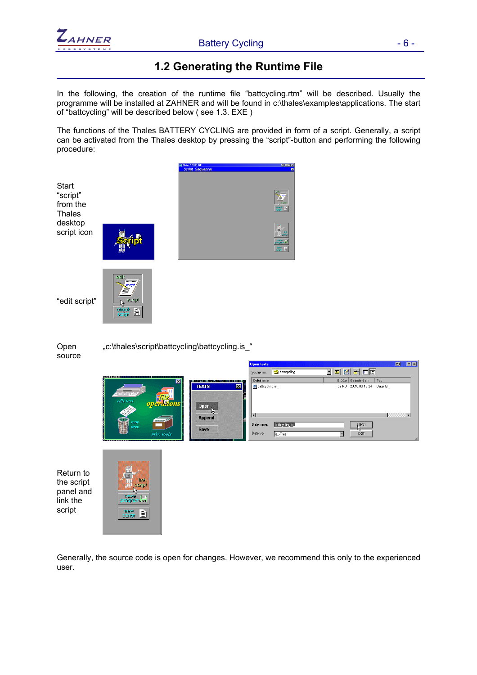

### <span id="page-5-0"></span>**1.2 Generating the Runtime File**

In the following, the creation of the runtime file "battcycling.rtm" will be described. Usually the programme will be installed at ZAHNER and will be found in c:\thales\examples\applications. The start of "battcycling" will be described below ( see 1.3. EXE )

The functions of the Thales BATTERY CYCLING are provided in form of a script. Generally, a script can be activated from the Thales desktop by pressing the "script"-button and performing the following procedure:



Open source "c:\thales\script\battcycling\battcycling.is\_"



**Onen texts** 

Return to the script panel and link the script



Generally, the source code is open for changes. However, we recommend this only to the experienced user.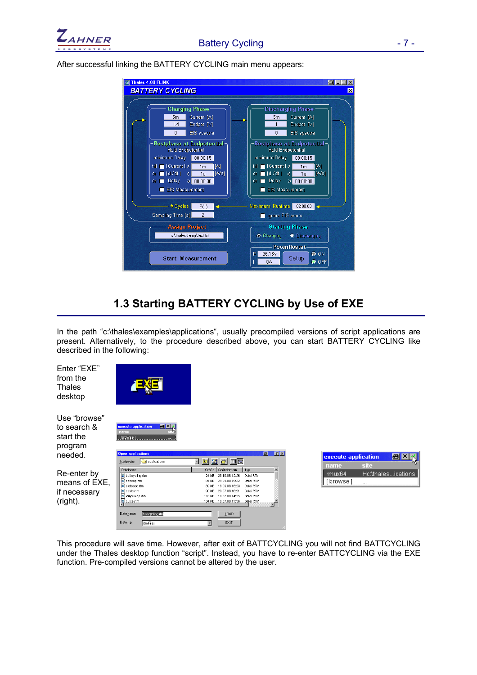After successful linking the BATTERY CYCLING main menu appears:

| <b>Thales 4.00 FLINK</b>                                                                                                                                                                                                                                      | al I                                                                                                                                                                                                                                                             |
|---------------------------------------------------------------------------------------------------------------------------------------------------------------------------------------------------------------------------------------------------------------|------------------------------------------------------------------------------------------------------------------------------------------------------------------------------------------------------------------------------------------------------------------|
| <b>BATTERY CYCLING</b>                                                                                                                                                                                                                                        | $\vert x \vert$                                                                                                                                                                                                                                                  |
|                                                                                                                                                                                                                                                               |                                                                                                                                                                                                                                                                  |
| <b>Charging Phase-</b><br>5 <sub>m</sub><br>Current [A]<br>Endpot [V]<br>1.4<br>$\mathbf{0}$<br>EIS spectra                                                                                                                                                   | Discharging Phase<br>5 <sub>m</sub><br>Current [A]<br>Endpot [V]<br>1<br>0<br>EIS spectra                                                                                                                                                                        |
| -Restphase at Endpotential<br>Hold Endpotential<br>minimum Delay<br>00:00:15<br>till $\blacksquare$   Current $ \leqslant $<br>l [A]<br>1 <sub>m</sub><br> [A/s]<br>$ d /dt$ $ \leq$<br>1u<br>or.<br>Delay<br>00:00:30<br>ାଧ<br>or.<br><b>EIS</b> Measurement | -Restphase at Endpotential-<br><b>Hold Endpotential</b><br>minimum Delay<br> 00:00:15 <br>$\Box$   Current $ \leq$<br>till<br>IAI<br>1 <sub>m</sub><br>[[A/s]<br>∎ldl/dti ≲i<br>1 <sub>u</sub><br>or<br>Delay<br>$\geq 00:00:30$<br>or<br><b>EIS Measurement</b> |
| $#$ Cycles<br>2(1)<br>Sampling Time [s]<br>$\mathbf{2}$                                                                                                                                                                                                       | 02:00:00<br>Maximum Runtime<br>ignore EIS errors                                                                                                                                                                                                                 |
| <b>Assign Project</b><br>c:\thales\temp\test.txt                                                                                                                                                                                                              | <b>Starting Phase -</b><br>Charging C Discharging<br>Potentiostat-<br>$-36.16V$<br>$\bullet$ ON                                                                                                                                                                  |
| <b>Start Measurement</b>                                                                                                                                                                                                                                      | Setup<br>0A<br>$\bullet$ OFF                                                                                                                                                                                                                                     |

### <span id="page-6-0"></span>**1.3 Starting BATTERY CYCLING by Use of EXE**

In the path "c:\thales\examples\applications", usually precompiled versions of script applications are present. Alternatively, to the procedure described above, you can start BATTERY CYCLING like described in the following:



| execute application |                    |
|---------------------|--------------------|
| name                |                    |
| rmux64              | Hc:\thalesications |
| [browse]            |                    |

This procedure will save time. However, after exit of BATTCYCLING you will not find BATTCYCLING under the Thales desktop function "script". Instead, you have to re-enter BATTCYCLING via the EXE function. Pre-compiled versions cannot be altered by the user.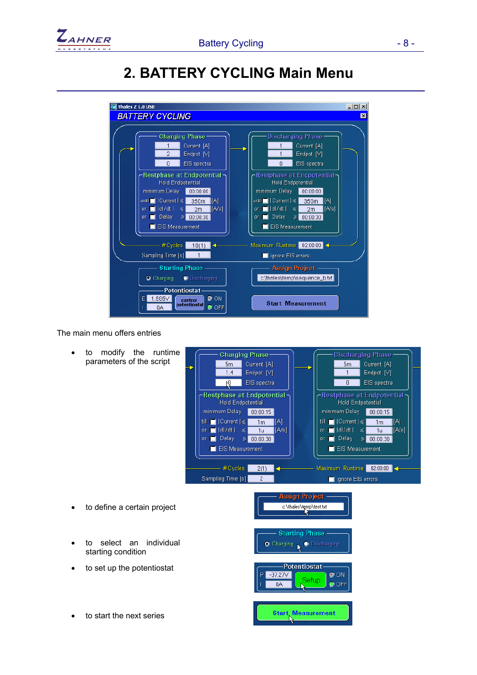# <span id="page-7-0"></span>**2. BATTERY CYCLING Main Menu**



The main menu offers entries

to modify the runtime parameters of the script

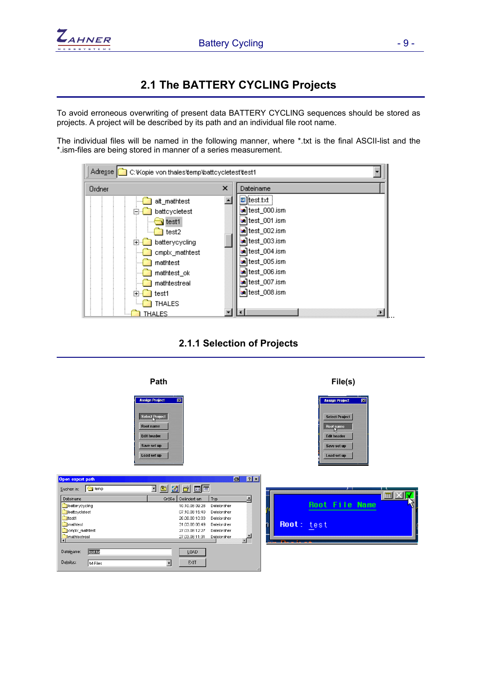

### <span id="page-8-0"></span>**2.1 The BATTERY CYCLING Projects**

To avoid erroneous overwriting of present data BATTERY CYCLING sequences should be stored as projects. A project will be described by its path and an individual file root name.

The individual files will be named in the following manner, where \*.txt is the final ASCII-list and the \*.ism-files are being stored in manner of a series measurement.



<span id="page-8-1"></span>**2.1.1 Selection of Projects** 

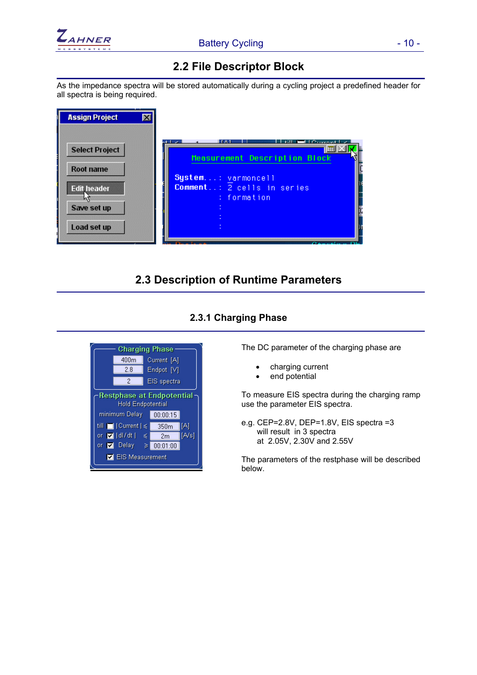

### <span id="page-9-0"></span>**2.2 File Descriptor Block**

As the impedance spectra will be stored automatically during a cycling project a predefined header for all spectra is being required.



# <span id="page-9-1"></span>**2.3 Description of Runtime Parameters**



### <span id="page-9-2"></span>**2.3.1 Charging Phase**

The DC parameter of the charging phase are

- charging current
- end potential

To measure EIS spectra during the charging ramp use the parameter EIS spectra.

e.g. CEP=2.8V, DEP=1.8V, EIS spectra =3 will result in 3 spectra at 2.05V, 2.30V and 2.55V

The parameters of the restphase will be described below.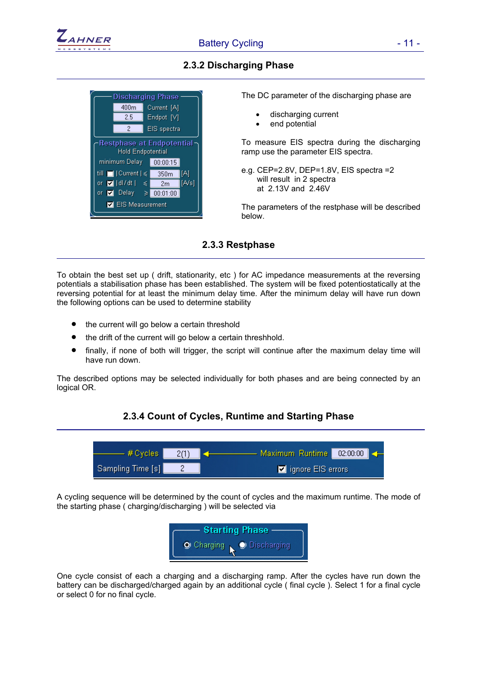### <span id="page-10-0"></span>**2.3.2 Discharging Phase**



The DC parameter of the discharging phase are

- discharging current
- end potential

To measure EIS spectra during the discharging ramp use the parameter EIS spectra.

e.g. CEP=2.8V, DEP=1.8V, EIS spectra =2 will result in 2 spectra at 2.13V and 2.46V

The parameters of the restphase will be described below.

#### <span id="page-10-1"></span>**2.3.3 Restphase**

To obtain the best set up ( drift, stationarity, etc ) for AC impedance measurements at the reversing potentials a stabilisation phase has been established. The system will be fixed potentiostatically at the reversing potential for at least the minimum delay time. After the minimum delay will have run down the following options can be used to determine stability

- the current will go below a certain threshold
- the drift of the current will go below a certain threshhold.
- finally, if none of both will trigger, the script will continue after the maximum delay time will have run down.

The described options may be selected individually for both phases and are being connected by an logical OR.



# <span id="page-10-2"></span>**2.3.4 Count of Cycles, Runtime and Starting Phase**

A cycling sequence will be determined by the count of cycles and the maximum runtime. The mode of the starting phase ( charging/discharging ) will be selected via



One cycle consist of each a charging and a discharging ramp. After the cycles have run down the battery can be discharged/charged again by an additional cycle ( final cycle ). Select 1 for a final cycle or select 0 for no final cycle.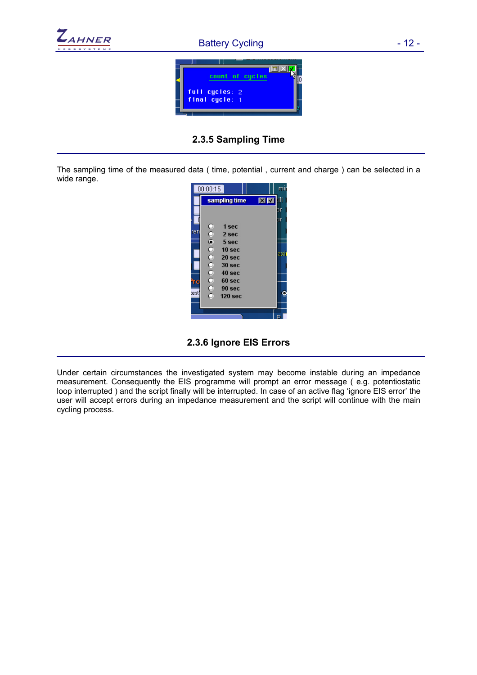



#### <span id="page-11-0"></span>**2.3.5 Sampling Time**

The sampling time of the measured data ( time, potential , current and charge ) can be selected in a wide range.

|       | 00:00:15           |                              |           | mir |
|-------|--------------------|------------------------------|-----------|-----|
|       |                    | sampling time                | <b>MX</b> |     |
|       |                    |                              |           | ٦ľ  |
|       |                    |                              |           |     |
| ren   | ္မ                 | 1 sec<br>2 sec               |           |     |
|       |                    | 5 sec                        |           |     |
|       | ō                  | 10 <sub>sec</sub>            |           | ахі |
|       | $\hat{\mathbf{e}}$ | 20 <sub>sec</sub><br>30 sec  |           |     |
|       | $\frac{1}{2}$      | 40 <sub>sec</sub>            |           |     |
| ro    | $\frac{1}{2}$      | 60 <sub>sec</sub>            |           |     |
| test' | Ò                  | 90 sec<br>120 <sub>sec</sub> |           |     |
|       |                    |                              |           |     |
|       |                    |                              |           |     |

<span id="page-11-1"></span>

Under certain circumstances the investigated system may become instable during an impedance measurement. Consequently the EIS programme will prompt an error message ( e.g. potentiostatic loop interrupted ) and the script finally will be interrupted. In case of an active flag 'ignore EIS error' the user will accept errors during an impedance measurement and the script will continue with the main cycling process.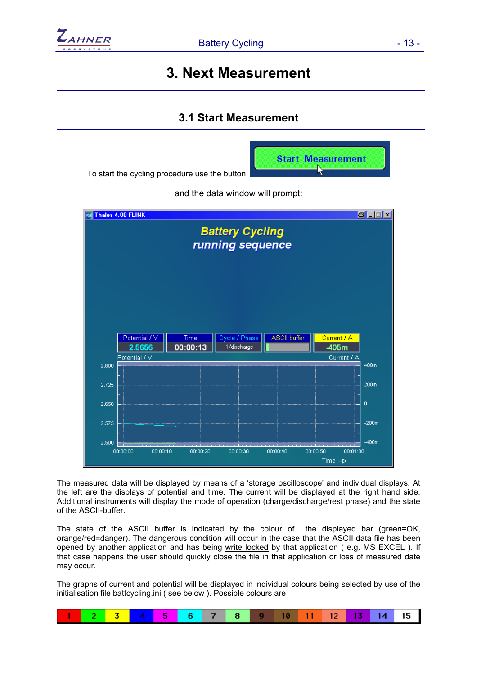

# <span id="page-12-0"></span>**3. Next Measurement**

#### <span id="page-12-1"></span>**3.1 Start Measurement**



The measured data will be displayed by means of a 'storage oscilloscope' and individual displays. At the left are the displays of potential and time. The current will be displayed at the right hand side. Additional instruments will display the mode of operation (charge/discharge/rest phase) and the state of the ASCII-buffer.

The state of the ASCII buffer is indicated by the colour of the displayed bar (green=OK, orange/red=danger). The dangerous condition will occur in the case that the ASCII data file has been opened by another application and has being write locked by that application ( e.g. MS EXCEL ). If that case happens the user should quickly close the file in that application or loss of measured date may occur.

The graphs of current and potential will be displayed in individual colours being selected by use of the initialisation file battcycling.ini ( see below ). Possible colours are

|  |  |  |  |  |  |  |  |  |  |  |  |  |  | 2 3 4 5 6 7 8 9 10 11 12 13 14 15 |
|--|--|--|--|--|--|--|--|--|--|--|--|--|--|-----------------------------------|
|--|--|--|--|--|--|--|--|--|--|--|--|--|--|-----------------------------------|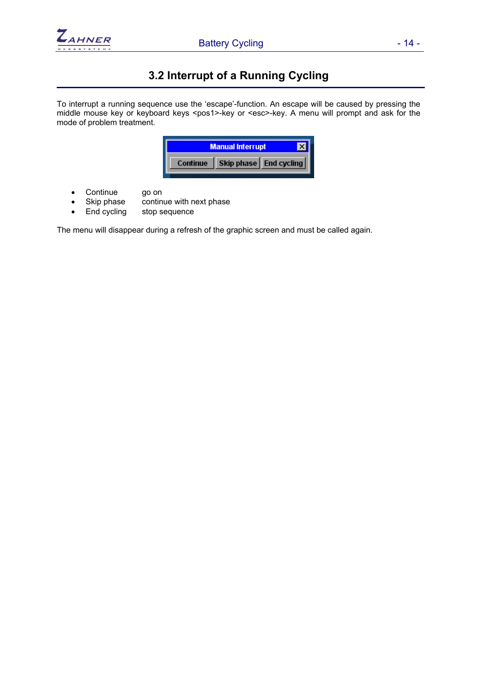# <span id="page-13-0"></span>**3.2 Interrupt of a Running Cycling**

To interrupt a running sequence use the 'escape'-function. An escape will be caused by pressing the middle mouse key or keyboard keys <pos1>-key or <esc>-key. A menu will prompt and ask for the mode of problem treatment.



- Continue go on
- Skip phase continue with next phase
- End cycling stop sequence

The menu will disappear during a refresh of the graphic screen and must be called again.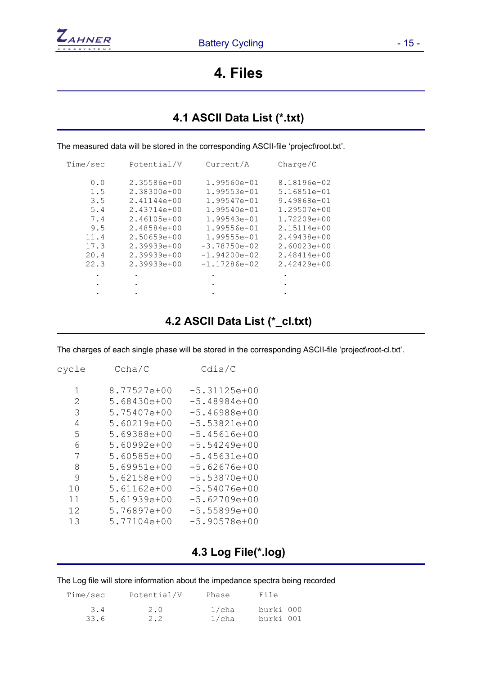# <span id="page-14-0"></span>**4. Files**

# <span id="page-14-1"></span>**4.1 ASCII Data List (\*.txt)**

The measured data will be stored in the corresponding ASCII-file 'project\root.txt'.

| Time/sec | Potential/V     | Current/A        | charge/C        |
|----------|-----------------|------------------|-----------------|
| 0.0      | 2.35586e+00     | $1.99560e - 01$  | 8.18196e-02     |
| 1.5      | $2.38300e + 00$ | $1.99553e - 01$  | $5.16851e - 01$ |
| 3.5      | 2.41144e+00     | $1.99547e - 01$  | $9.49868e - 01$ |
| 5.4      | 2.43714e+00     | $1.99540e - 01$  | $1.29507e+00$   |
| 7.4      | $2.46105e+00$   | $1.99543e - 01$  | 1.72209e+00     |
| 9.5      | $2.48584e+00$   | $1.99556e - 01$  | $2.15114e+00$   |
| 11.4     | $2.50659e + 00$ | $1.99555e - 01$  | 2.49438e+00     |
| 17.3     | 2.39939e+00     | $-3.78750e - 02$ | $2.60023e+00$   |
| 20.4     | $2.39939e + 00$ | $-1.94200e - 02$ | $2.48414e+00$   |
| 22.3     | $2.39939e + 00$ | $-1.17286e-02$   | $2.42429e+00$   |
| ٠        |                 |                  | ٠               |
| ٠        | ٠               | $\bullet$        | ٠               |
|          |                 |                  |                 |

# <span id="page-14-2"></span>**4.2 ASCII Data List (\*\_cl.txt)**

The charges of each single phase will be stored in the corresponding ASCII-file 'project\root-cl.txt'.

| Ccha/C      | Cdis/C         |
|-------------|----------------|
| 8.77527e+00 | $-5.31125e+00$ |
| 5.68430e+00 | $-5.48984e+00$ |
| 5.75407e+00 | $-5.46988e+00$ |
| 5.60219e+00 | $-5.53821e+00$ |
| 5.69388e+00 | $-5.45616e+00$ |
| 5.60992e+00 | $-5.54249e+00$ |
| 5.60585e+00 | $-5.45631e+00$ |
| 5.69951e+00 | $-5.62676e+00$ |
| 5.62158e+00 | $-5.53870e+00$ |
| 5.61162e+00 | $-5.54076e+00$ |
| 5.61939e+00 | $-5.62709e+00$ |
| 5.76897e+00 | $-5.55899e+00$ |
| 5.77104e+00 | $-5.90578e+00$ |
|             |                |

# <span id="page-14-3"></span>**4.3 Log File(\*.log)**

The Log file will store information about the impedance spectra being recorded

| Time/sec | Potential/V | Phase    | File      |
|----------|-------------|----------|-----------|
| 3.4      | 2.0         | $1/c$ ha | burki 000 |
| 33.6     | 2.2         | $1$ /cha | burki 001 |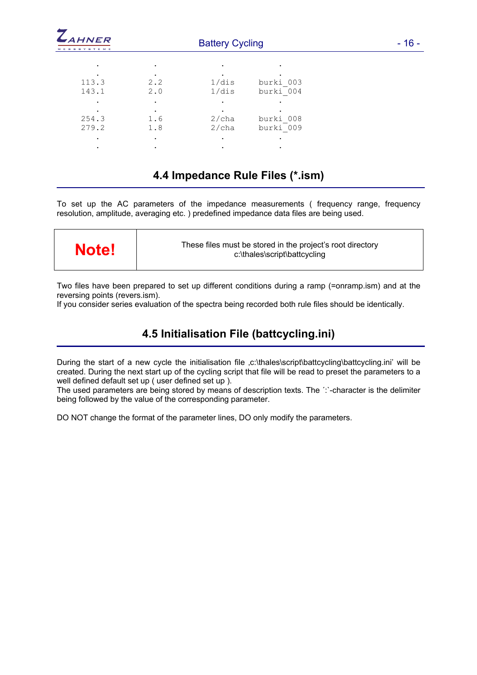| AHNER           |     | <b>Battery Cycling</b> | - 16      |  |
|-----------------|-----|------------------------|-----------|--|
| <b>SSYSTEME</b> |     |                        |           |  |
|                 |     |                        |           |  |
|                 |     |                        |           |  |
| 113.3           | 2.2 | 1/dis                  | burki 003 |  |
| 143.1           | 2.0 | 1/dis                  | burki 004 |  |
|                 | ٠   |                        |           |  |
|                 |     |                        |           |  |
| 254.3           | 1.6 | $2$ /cha               | burki 008 |  |
| 279.2           | 1.8 | $2$ /cha               | burki 009 |  |
|                 |     |                        |           |  |
|                 |     |                        |           |  |
|                 |     |                        |           |  |

### <span id="page-15-0"></span>**4.4 Impedance Rule Files (\*.ism)**

To set up the AC parameters of the impedance measurements ( frequency range, frequency resolution, amplitude, averaging etc. ) predefined impedance data files are being used.

| Note! | These files must be stored in the project's root directory<br>c:\thales\script\battcycling |
|-------|--------------------------------------------------------------------------------------------|
|-------|--------------------------------------------------------------------------------------------|

Two files have been prepared to set up different conditions during a ramp (=onramp.ism) and at the reversing points (revers.ism).

If you consider series evaluation of the spectra being recorded both rule files should be identically.

### <span id="page-15-1"></span>**4.5 Initialisation File (battcycling.ini)**

During the start of a new cycle the initialisation file ,c:\thales\script\battcycling\battcycling.ini' will be created. During the next start up of the cycling script that file will be read to preset the parameters to a well defined default set up ( user defined set up ).

The used parameters are being stored by means of description texts. The ': - character is the delimiter being followed by the value of the corresponding parameter.

DO NOT change the format of the parameter lines, DO only modify the parameters.